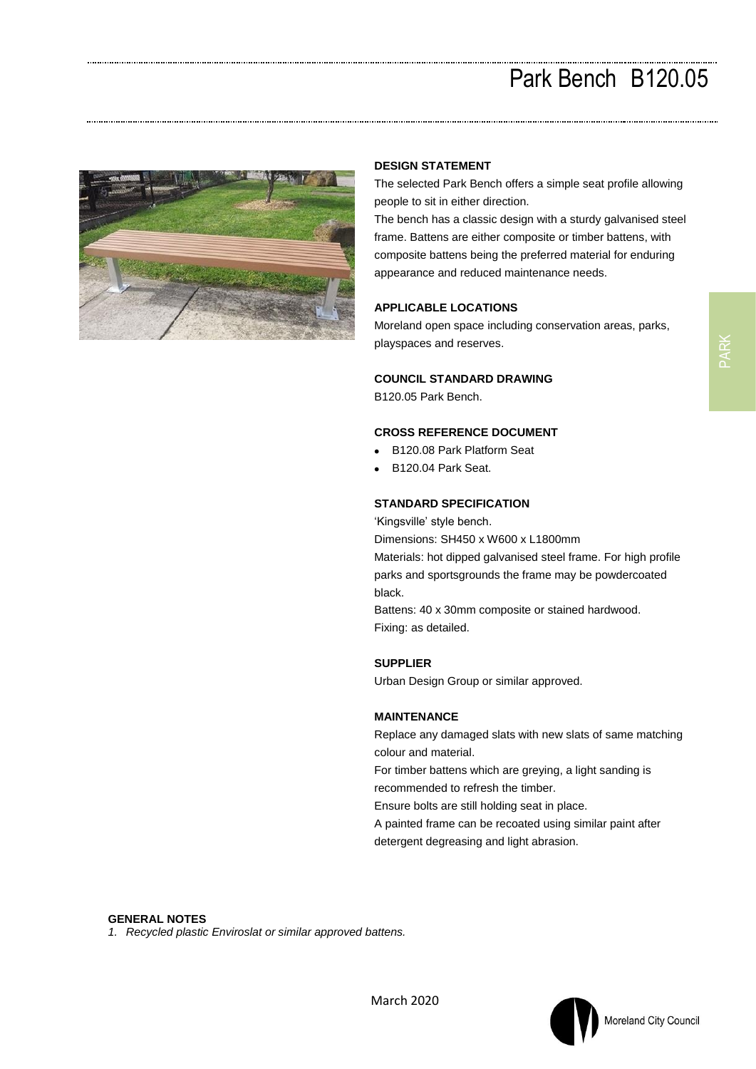## Park Bench B120.05



### **DESIGN STATEMENT**

The selected Park Bench offers a simple seat profile allowing people to sit in either direction.

The bench has a classic design with a sturdy galvanised steel frame. Battens are either composite or timber battens, with composite battens being the preferred material for enduring appearance and reduced maintenance needs.

### **APPLICABLE LOCATIONS**

Moreland open space including conservation areas, parks, playspaces and reserves.

### **COUNCIL STANDARD DRAWING**

B120.05 Park Bench.

### **CROSS REFERENCE DOCUMENT**

- B120.08 Park Platform Seat
- B120.04 Park Seat.

### **STANDARD SPECIFICATION**

'Kingsville' style bench.

Dimensions: SH450 x W600 x L1800mm Materials: hot dipped galvanised steel frame. For high profile parks and sportsgrounds the frame may be powdercoated black.

Battens: 40 x 30mm composite or stained hardwood. Fixing: as detailed.

### **SUPPLIER**

Urban Design Group or similar approved.

### **MAINTENANCE**

Replace any damaged slats with new slats of same matching colour and material. For timber battens which are greying, a light sanding is recommended to refresh the timber.

Ensure bolts are still holding seat in place.

A painted frame can be recoated using similar paint after detergent degreasing and light abrasion.

#### **GENERAL NOTES**

*1. Recycled plastic Enviroslat or similar approved battens.*



March 2020